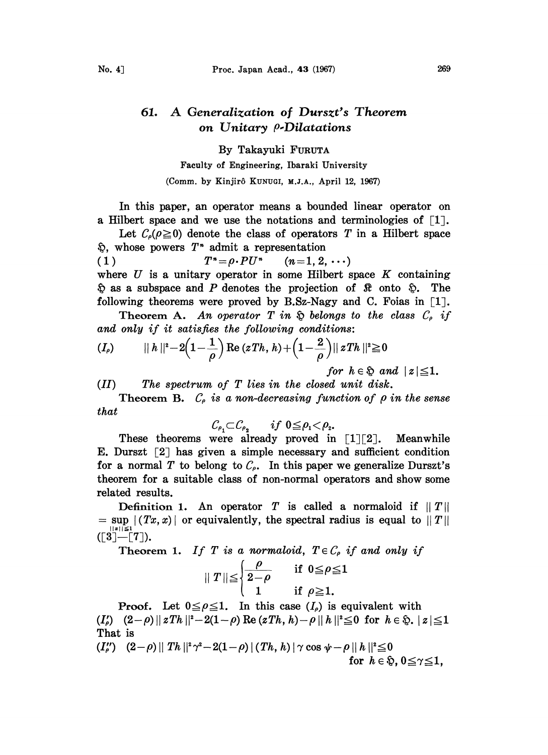## 61. A Generalization of Durszt's Theorem on Unitary *p*-Dilatations

By Takayuki FURUTA

Faculty of Engineering, Ibaraki University (Comm. by Kinjirô KUNUGI, M.J.A., April 12, 1967)

In this paper, an operator means a bounded linear operator on a Hilbert space and we use the notations and terminologies of  $\lceil 1 \rceil$ .

Let  $C_{\rho}(\rho \geq 0)$  denote the class of operators T in a Hilbert space  $\mathfrak{D}$ , whose powers  $T^*$  admit a representation

(1)  $T^{n} = \rho \cdot PU^{n}$   $(n=1, 2, \cdots)$ where  $U$  is a unitary operator in some Hilbert space  $K$  containing  $\hat{\varphi}$  as a subspace and P denotes the projection of  $\hat{\mathcal{R}}$  onto  $\hat{\varphi}$ . The following theorems were proved by B.Sz-Nagy and C. Foias in  $\lceil 1 \rceil$ .

Theorem A. An operator T in  $\hat{p}$  belongs to the class  $C_{\rho}$  if and only if it satisfies the following conditions:

$$
(I_{\rho}) \qquad \quad \parallel h\parallel^{2} - 2\left(1 - \frac{1}{\rho}\right)\operatorname{Re}\left(zTh, h\right) + \left(1 - \frac{2}{\rho}\right)\parallel zTh\parallel^{2} \geq 0
$$
\nfor  $h \in \mathfrak{D}$  and  $\mid z \mid \leq 1$ .

(H) The spectrum of T lies in the closed unit disk.

Theorem B.  $C_{\rho}$  is a non-decreasing function of  $\rho$  in the sense that

$$
\mathcal{C}_{\rho_1} \subset \mathcal{C}_{\rho_2} \qquad \text{if } 0 \leq \rho_1 < \rho_2.
$$

These theorems were already proved in  $[1][2]$ . Meanwhile E. Durszt  $\lceil 2 \rceil$  has given a simple necessary and sufficient condition for a normal T to belong to  $C_{\rho}$ . In this paper we generalize Durszt's theorem for a suitable class of non-normal operators and show some related results.

Definition 1. An operator T is called a normaloid if  $||T||$  $s = \sup | (Tx, x) |$  or equivalently, the spectral radius is equal to  $||T||$  $\begin{bmatrix} 1 & 1 \\ 1 & 1 \end{bmatrix}$  $\begin{bmatrix} 1 \\ 2 \end{bmatrix}$  $\begin{bmatrix} 1 \\ -1 \end{bmatrix}$ 

Theorem 1. If T is a normaloid,  $T \in \mathcal{C}_{\rho}$  if and only if

$$
\|T\| \leq \begin{cases} \frac{\rho}{2-\rho} & \text{if } 0 \leq \rho \leq 1 \\ 1 & \text{if } \rho \geq 1. \end{cases}
$$

**Proof.** Let  $0 \le \rho \le 1$ . In this case  $(I_\rho)$  is equivalent with  $(I'_\rho)$   $(2-\rho) || zTh ||^2 - 2(1-\rho) \operatorname{Re} (zTh, h) - \rho || h ||^2 \leq 0$  for  $h \in \mathfrak{D}$ ,  $|z| \leq 1$ That is

 $(I''_{\rho})$   $(2-\rho)$  || Th ||<sup>2</sup>  $\gamma^2-2(1-\rho)$  |  $(Th, h)$  |  $\gamma \cos \psi - \rho$  ||  $h$  ||<sup>2</sup>  $\leq$  0 for  $h \in \mathfrak{D}$ ,  $0 \leq \gamma \leq 1$ ,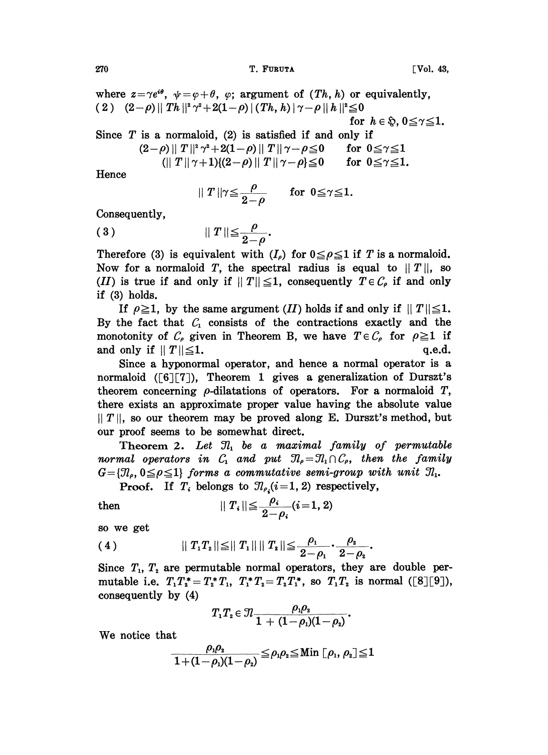270 T. FURUTA Vo]. 43,

where  $z = \gamma e^{i\theta}$ ,  $\psi = \varphi + \theta$ ,  $\varphi$ ; argument of  $(Th, h)$  or equivalently, ( 2 )  $(2-\rho) || Th ||^2 \gamma^2 + 2(1-\rho) || (Th, h) || \gamma - \rho || h ||^2 \leq 0$ for  $h \in \mathfrak{D}$ ,  $0 \leq \gamma \leq 1$ . Since  $T$  is a normaloid, (2) is satisfied if and only if

$$
(2-\rho)\parallel T\parallel^2 \gamma^2+2(1-\rho)\parallel T\parallel \gamma-\rho\leqq 0 \quad \text{for } 0\leqq \gamma\leqq 1
$$
  
( $\parallel T\parallel \gamma+1$ ){ $(2-\rho)\parallel T\parallel \gamma-\rho$ } $\leqq 0 \quad \text{for } 0\leqq \gamma\leqq 1.$ 

Hence

$$
\|T\|\gamma {\leq} \frac{\rho}{2-\rho} \quad \text{for } 0{\leq} \gamma {\leq} 1.
$$

Consequently,

$$
(3) \t\t\t ||T|| \leq \frac{\rho}{2-\rho}.
$$

Therefore (3) is equivalent with  $(I_o)$  for  $0 \le \rho \le 1$  if T is a normaloid. Now for a normaloid T, the spectral radius is equal to  $||T||$ , so (II) is true if and only if  $||T|| \leq 1$ , consequently  $T \in \mathcal{C}_{\rho}$  if and only if (3) holds.

If  $\rho \geq 1$ , by the same argument (*II*) holds if and only if  $||T|| \leq 1$ . By the fact that  $C_1$  consists of the contractions exactly and the monotonity of  $C_{\rho}$  given in Theorem B, we have  $T \in C_{\rho}$  for  $\rho \ge 1$  if and only if  $||T|| \le 1$ . q.e.d. and only if  $||T|| \leq 1$ .

Since a hyponormal operator, and hence a normal operator is a normaloid  $([6][7])$ , Theorem 1 gives a generalization of Durszt's theorem concerning  $\rho$ -dilatations of operators. For a normaloid  $T$ , there exists an approximate proper value having the absolute value  $||T||$ , so our theorem may be proved along E. Durszt's method, but our proof seems to be somewhat direct.

Theorem 2. Let  $\mathfrak{N}_1$  be a maximal family of permutable normal operators in  $C_1$  and put  $\mathcal{I}_\rho = \mathcal{I}_1 \cap C_\rho$ , then the family normal operators in  $C_1$  and put  $J\iota_\rho=J\iota_1\cap C_\rho$ , then the faming  $G=\{\mathcal{J}\rho, \, 0\leq \rho\leq 1\}$  forms a commutative semi-group with unit  $\mathcal{J}\iota_1$ .

**Proof.** If  $T_i$  belongs to  $\mathcal{I}_{\rho_i}(i=1, 2)$  respectively,

then 
$$
||T_i|| \leq \frac{\rho_i}{2-\rho_i} (i=1, 2)
$$

so we get

$$
(4) \t\t || T_1T_2|| \leq || T_1|| \t || T_2|| \leq \frac{\rho_1}{2-\rho_1} \cdot \frac{\rho_2}{2-\rho_2}.
$$

Since  $T_1$ ,  $T_2$  are permutable normal operators, they are double permutable i.e.  $T_1T_2^* = T_2^*T_1$ ,  $T_1^*T_2 = T_2T_1^*$ , so  $T_1T_2$  is normal ([8][9]), consequently by (4)

$$
T_1T_2\in\mathfrak{N}\frac{\rho_1\rho_2}{1+(1-\rho_1)(1-\rho_2)}.
$$

We notice that

$$
\frac{\rho_{1}\rho_{2}}{1+(1-\rho_{1})(1-\rho_{2})}\leqq\rho_{1}\rho_{2}\leqq\mathrm{Min}\hspace{0.1cm}\left[\hspace{0.1cm}\rho_{1},\,\rho_{2}\right]\leqq1
$$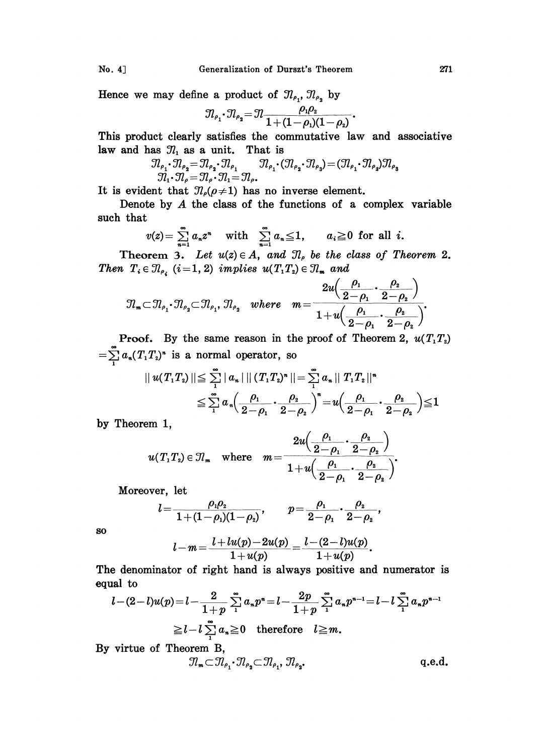No. 4] Generalization of Durszt's Theorem 271

Hence we may define a product of  $\mathfrak{N}_{\rho_1}, \mathfrak{N}_{\rho_2}$  by

$$
\mathcal{I}_{\rho_1} \cdot \mathcal{I}_{\rho_2} = \mathcal{I}_1 \frac{\rho_1 \rho_2}{1 + (1 - \rho_1)(1 - \rho_2)}
$$

This product clearly satisfies the commutative law and associative law and has  $\mathcal{I}_1$  as a unit. That is

$$
J_{\ell_{\rho_1}} \cdot J_{\ell_{\rho_2}} = J_{\ell} \frac{1}{1 + (1 - \rho_1)(1 - \rho_2)}.
$$
  
uct clearly satisfies the commutative law and as  $\mathcal{I}_1$  as a unit. That is  

$$
\mathcal{I}_{\rho_1} \cdot \mathcal{I}_{\rho_2} = \mathcal{I}_{\rho_2} \cdot \mathcal{I}_{\rho_1} \qquad \mathcal{I}_{\rho_1} \cdot (\mathcal{I}_{\rho_2} \cdot \mathcal{I}_{\rho_3}) = (\mathcal{I}_{\rho_1} \cdot \mathcal{I}_{\rho_2}) \mathcal{I}_{\rho_3}
$$

$$
\mathcal{I}_1 \cdot \mathcal{I}_{\rho} = \mathcal{I}_{\rho} \cdot \mathcal{I}_{\rho_1} = \mathcal{I}_{\rho}.
$$

It is evident that  $\mathcal{D}_{\rho}(\rho \neq 1)$  has no inverse element.

Denote by A the class of the functions of <sup>a</sup> complex variable such that

$$
v(z) = \sum_{n=1}^{\infty} a_n z^n \quad \text{with} \quad \sum_{n=1}^{\infty} a_n \leq 1, \qquad a_i \geq 0 \text{ for all } i.
$$

Theorem 3. Let  $u(z) \in A$ , and  $\mathcal{I}_{\rho}$  be the class of Theorem 2. Then  $T_i \in \mathcal{I}_{\rho_i}$  (i=1, 2) implies  $u(T_1T_2) \in \mathcal{I}_{\mathfrak{m}}$  and

$$
\mathfrak{N}_\mathfrak{m}\subset\mathfrak{N}_{\rho_1}\cdot\mathfrak{N}_{\rho_2}\subset\mathfrak{N}_{\rho_1},\,\mathfrak{N}_{\rho_2}\quad where\quad m=\frac{2u\left(\dfrac{\rho_1}{2-\rho_1}\cdot\dfrac{\rho_2}{2-\rho_2}\right)}{1+u\left(\dfrac{\rho_1}{2-\rho_1}\cdot\dfrac{\rho_2}{2-\rho_2}\right)}.
$$

**Proof.** By the same reason in the proof of Theorem 2,  $u(T_1T_2)$  $=\sum_{i=1}^{\infty} a_n (T_1T_2)^n$  is a normal operator, so

$$
|| u(T_1T_2)|| \leq \sum_{1}^{\infty} |a_n| || (T_1T_2)^n || = \sum_{1}^{\infty} a_n || T_1T_2 ||^n
$$
  

$$
\leq \sum_{1}^{\infty} a_n \Big( \frac{\rho_1}{2 - \rho_1} \cdot \frac{\rho_2}{2 - \rho_2} \Big)^n = u \Big( \frac{\rho_1}{2 - \rho_1} \cdot \frac{\rho_2}{2 - \rho_2} \Big) \leq 1
$$

by Theorem 1,

SO

$$
u(T_1T_2) \in \mathcal{I}_m \quad \text{where} \quad m = \frac{2u\left(\frac{\rho_1}{2-\rho_1} \cdot \frac{\rho_2}{2-\rho_2}\right)}{1+u\left(\frac{\rho_1}{2-\rho_1} \cdot \frac{\rho_2}{2-\rho_2}\right)}.
$$

Moreover, let

$$
l=\frac{\rho_1\rho_2}{1+(1-\rho_1)(1-\rho_2)},\qquad p=\frac{\rho_1}{2-\rho_1}\cdot\frac{\rho_2}{2-\rho_2},\\ l-m=\frac{l+lu(p)-2u(p)}{1+u(p)}=\frac{l-(2-l)u(p)}{1+u(p)}.
$$

The denominator of right hand is always positive and numerator is equal to

and to

\n
$$
l - (2 - l)u(p) = l - \frac{2}{1 + p} \sum_{1}^{\infty} a_n p^n = l - \frac{2p}{1 + p} \sum_{1}^{\infty} a_n p^{n-1} = l - l \sum_{1}^{\infty} a_n p^{n-1}
$$
\n
$$
\geq l - l \sum_{1}^{\infty} a_n \geq 0 \quad \text{therefore} \quad l \geq m.
$$

By virtue of Theorem B,

$$
\mathcal{R}_{\mathbf{m}} \subset \mathcal{R}_{\rho_1} \cdot \mathcal{R}_{\rho_2} \subset \mathcal{R}_{\rho_1}, \, \mathcal{R}_{\rho_2}.
$$
 q.e.d.